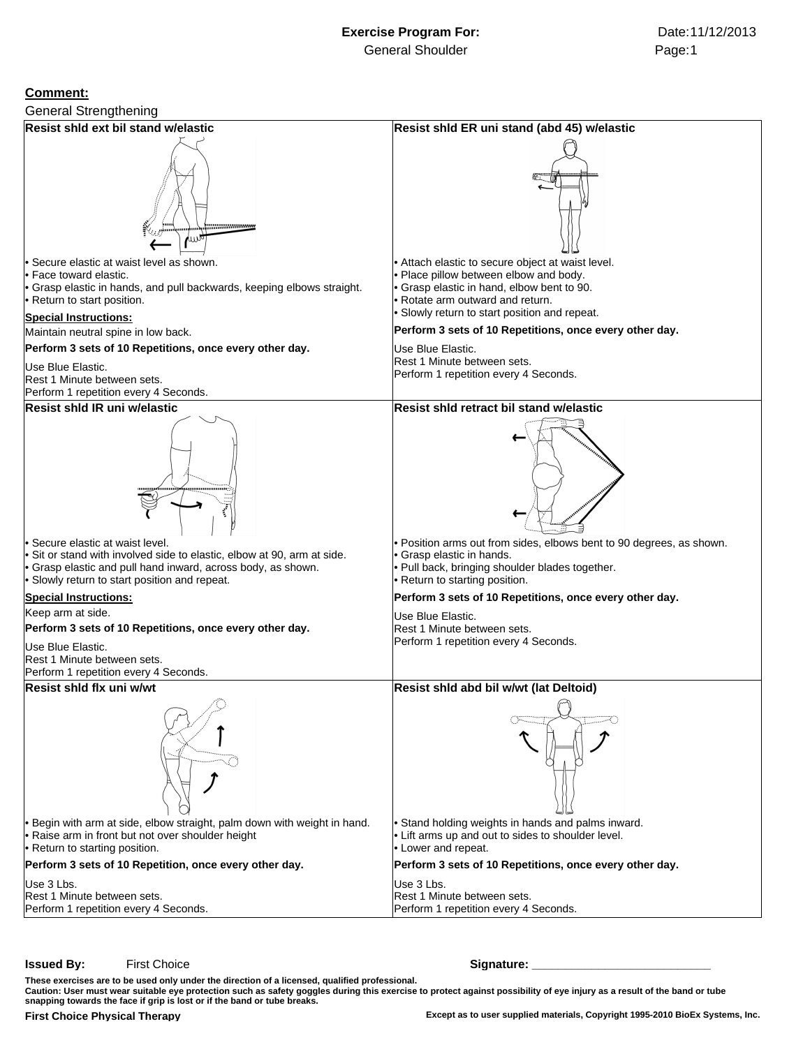## **Comment:**



## **Issued By:** First Choice **Signature: 2006 State of Signature: 2006 State of Signature: 2006 State of Signature: 2006 State of Signature: 2006 State of Signature: 2006 State of Signature: 2006 State of Signature: 2006 Stat**

**These exercises are to be used only under the direction of a licensed, qualified professional. Caution: User must wear suitable eye protection such as safety goggles during this exercise to protect against possibility of eye injury as a result of the band or tube snapping towards the face if grip is lost or if the band or tube breaks.**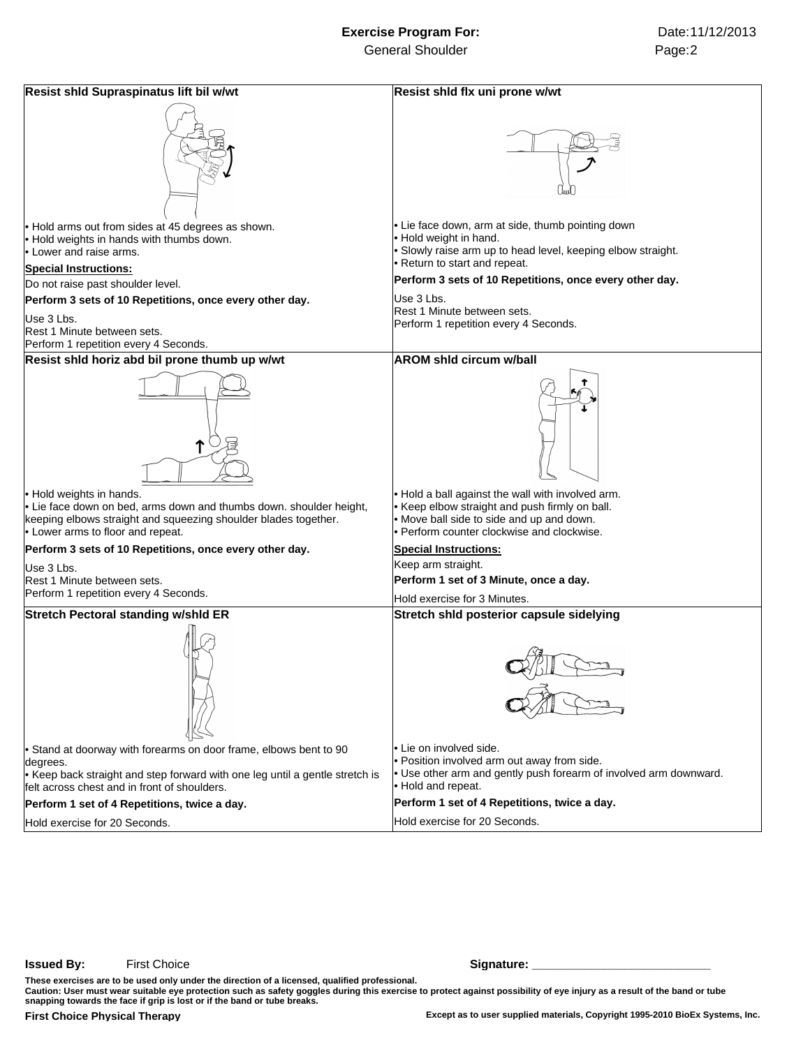## **Exercise Program For:** General Shoulder

| Resist shid Supraspinatus lift bil w/wt                                                                                                                                                                       | Resist shid fix uni prone w/wt                                                                                                                                                                 |
|---------------------------------------------------------------------------------------------------------------------------------------------------------------------------------------------------------------|------------------------------------------------------------------------------------------------------------------------------------------------------------------------------------------------|
|                                                                                                                                                                                                               |                                                                                                                                                                                                |
| • Hold arms out from sides at 45 degrees as shown.<br>. Hold weights in hands with thumbs down.<br>• Lower and raise arms.                                                                                    | • Lie face down, arm at side, thumb pointing down<br>• Hold weight in hand.<br>• Slowly raise arm up to head level, keeping elbow straight.<br>• Return to start and repeat.                   |
| <b>Special Instructions:</b><br>Do not raise past shoulder level.                                                                                                                                             | Perform 3 sets of 10 Repetitions, once every other day.                                                                                                                                        |
| Perform 3 sets of 10 Repetitions, once every other day.                                                                                                                                                       | Use 3 Lbs.                                                                                                                                                                                     |
| Use 3 Lbs.<br>Rest 1 Minute between sets.                                                                                                                                                                     | Rest 1 Minute between sets.<br>Perform 1 repetition every 4 Seconds.                                                                                                                           |
| Perform 1 repetition every 4 Seconds.                                                                                                                                                                         |                                                                                                                                                                                                |
| Resist shid horiz abd bil prone thumb up w/wt                                                                                                                                                                 | <b>AROM shid circum w/ball</b>                                                                                                                                                                 |
|                                                                                                                                                                                                               |                                                                                                                                                                                                |
| • Hold weights in hands.<br>• Lie face down on bed, arms down and thumbs down. shoulder height,<br>keeping elbows straight and squeezing shoulder blades together.<br>• Lower arms to floor and repeat.       | . Hold a ball against the wall with involved arm.<br>• Keep elbow straight and push firmly on ball.<br>• Move ball side to side and up and down.<br>• Perform counter clockwise and clockwise. |
| Perform 3 sets of 10 Repetitions, once every other day.                                                                                                                                                       | <b>Special Instructions:</b>                                                                                                                                                                   |
| Use 3 Lbs.                                                                                                                                                                                                    | Keep arm straight.                                                                                                                                                                             |
| Rest 1 Minute between sets.                                                                                                                                                                                   | Perform 1 set of 3 Minute, once a day.                                                                                                                                                         |
| Perform 1 repetition every 4 Seconds.                                                                                                                                                                         | Hold exercise for 3 Minutes.                                                                                                                                                                   |
| <b>Stretch Pectoral standing w/shld ER</b>                                                                                                                                                                    | Stretch shid posterior capsule sidelying                                                                                                                                                       |
|                                                                                                                                                                                                               |                                                                                                                                                                                                |
| • Stand at doorway with forearms on door frame, elbows bent to 90<br>degrees.<br>• Keep back straight and step forward with one leg until a gentle stretch is<br>felt across chest and in front of shoulders. | • Lie on involved side.<br>. Position involved arm out away from side.<br>• Use other arm and gently push forearm of involved arm downward.<br>• Hold and repeat.                              |
| Perform 1 set of 4 Repetitions, twice a day.                                                                                                                                                                  | Perform 1 set of 4 Repetitions, twice a day.                                                                                                                                                   |
| Hold exercise for 20 Seconds.                                                                                                                                                                                 | Hold exercise for 20 Seconds.                                                                                                                                                                  |

**Issued By:** First Choice **Signature: \_\_\_\_\_\_\_\_\_\_\_\_\_\_\_\_\_\_\_\_\_\_\_\_\_\_\_**

**These exercises are to be used only under the direction of a licensed, qualified professional.** Caution: User must wear suitable eye protection such as safety goggles during this exercise to protect against possibility of eye injury as a result of the band or tube<br>snapping towards the face if grip is lost or if the b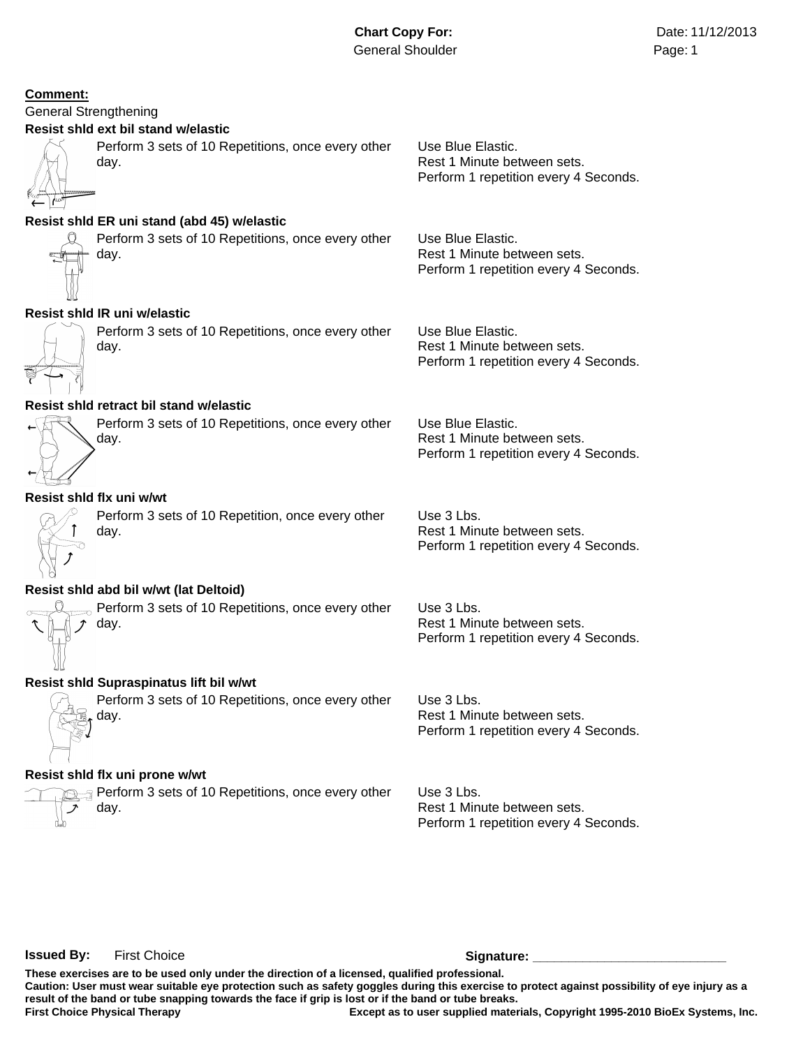

 $\rightarrow$  Perform 3 sets of 10 Repetitions, once every other

Rest 1 Minute between sets. Perform 1 repetition every 4 Seconds.

Use 3 Lbs. Rest 1 Minute between sets. Perform 1 repetition every 4 Seconds.

**Issued By:** First Choice **Signature: \_\_\_\_\_\_\_\_\_\_\_\_\_\_\_\_\_\_\_\_\_\_\_\_\_\_\_**

day.

**Resist shld flx uni prone w/wt**

**First Choice Physical Therapy Except as to user supplied materials, Copyright 1995-2010 BioEx Systems, Inc. These exercises are to be used only under the direction of a licensed, qualified professional. Caution: User must wear suitable eye protection such as safety goggles during this exercise to protect against possibility of eye injury as a result of the band or tube snapping towards the face if grip is lost or if the band or tube breaks.**